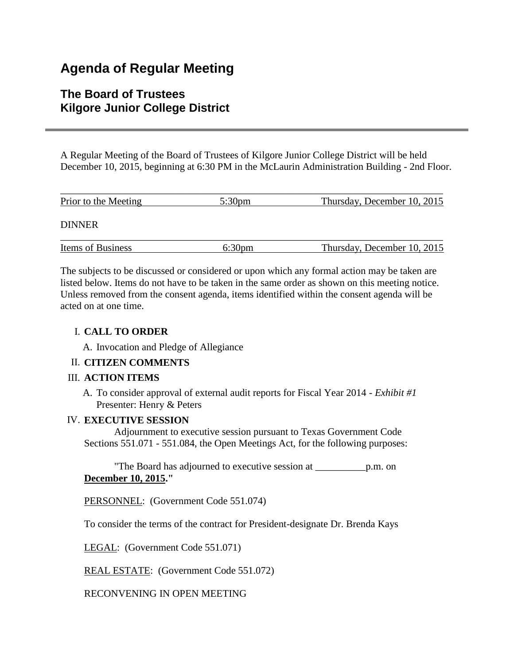# **Agenda of Regular Meeting**

## **The Board of Trustees Kilgore Junior College District**

A Regular Meeting of the Board of Trustees of Kilgore Junior College District will be held December 10, 2015, beginning at 6:30 PM in the McLaurin Administration Building - 2nd Floor.

| Prior to the Meeting | $5:30 \text{pm}$ | Thursday, December 10, 2015 |
|----------------------|------------------|-----------------------------|
| <b>DINNER</b>        |                  |                             |
| Items of Business    | 6:30pm           | Thursday, December 10, 2015 |

The subjects to be discussed or considered or upon which any formal action may be taken are listed below. Items do not have to be taken in the same order as shown on this meeting notice. Unless removed from the consent agenda, items identified within the consent agenda will be acted on at one time.

## I. **CALL TO ORDER**

A. Invocation and Pledge of Allegiance

## II. **CITIZEN COMMENTS**

## III. **ACTION ITEMS**

A. To consider approval of external audit reports for Fiscal Year 2014 - *Exhibit #1* Presenter: Henry & Peters

## IV. **EXECUTIVE SESSION**

 Adjournment to executive session pursuant to Texas Government Code Sections 551.071 - 551.084, the Open Meetings Act, for the following purposes:

 "The Board has adjourned to executive session at \_\_\_\_\_\_\_\_\_\_p.m. on **December 10, 2015."**

PERSONNEL: (Government Code 551.074)

To consider the terms of the contract for President-designate Dr. Brenda Kays

LEGAL: (Government Code 551.071)

REAL ESTATE: (Government Code 551.072)

RECONVENING IN OPEN MEETING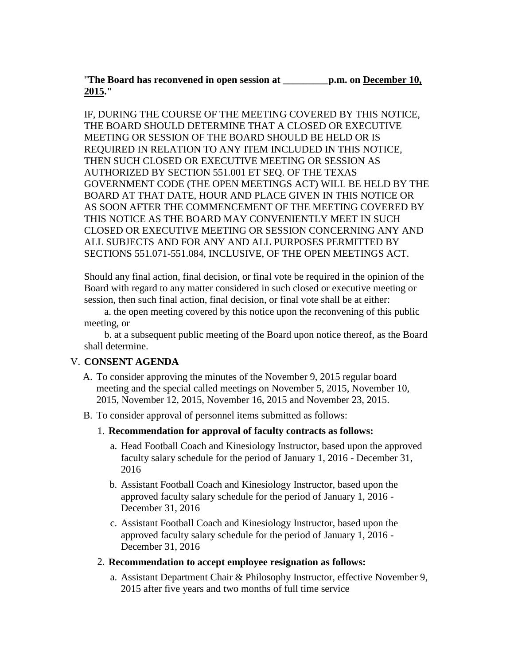"**The Board has reconvened in open session at \_\_\_\_\_\_\_\_\_p.m. on December 10, 2015."**

IF, DURING THE COURSE OF THE MEETING COVERED BY THIS NOTICE, THE BOARD SHOULD DETERMINE THAT A CLOSED OR EXECUTIVE MEETING OR SESSION OF THE BOARD SHOULD BE HELD OR IS REQUIRED IN RELATION TO ANY ITEM INCLUDED IN THIS NOTICE, THEN SUCH CLOSED OR EXECUTIVE MEETING OR SESSION AS AUTHORIZED BY SECTION 551.001 ET SEQ. OF THE TEXAS GOVERNMENT CODE (THE OPEN MEETINGS ACT) WILL BE HELD BY THE BOARD AT THAT DATE, HOUR AND PLACE GIVEN IN THIS NOTICE OR AS SOON AFTER THE COMMENCEMENT OF THE MEETING COVERED BY THIS NOTICE AS THE BOARD MAY CONVENIENTLY MEET IN SUCH CLOSED OR EXECUTIVE MEETING OR SESSION CONCERNING ANY AND ALL SUBJECTS AND FOR ANY AND ALL PURPOSES PERMITTED BY SECTIONS 551.071-551.084, INCLUSIVE, OF THE OPEN MEETINGS ACT.

Should any final action, final decision, or final vote be required in the opinion of the Board with regard to any matter considered in such closed or executive meeting or session, then such final action, final decision, or final vote shall be at either:

 a. the open meeting covered by this notice upon the reconvening of this public meeting, or

 b. at a subsequent public meeting of the Board upon notice thereof, as the Board shall determine.

### V. **CONSENT AGENDA**

- A. To consider approving the minutes of the November 9, 2015 regular board meeting and the special called meetings on November 5, 2015, November 10, 2015, November 12, 2015, November 16, 2015 and November 23, 2015.
- B. To consider approval of personnel items submitted as follows:
	- 1. **Recommendation for approval of faculty contracts as follows:**
		- a. Head Football Coach and Kinesiology Instructor, based upon the approved faculty salary schedule for the period of January 1, 2016 - December 31, 2016
		- b. Assistant Football Coach and Kinesiology Instructor, based upon the approved faculty salary schedule for the period of January 1, 2016 - December 31, 2016
		- c. Assistant Football Coach and Kinesiology Instructor, based upon the approved faculty salary schedule for the period of January 1, 2016 - December 31, 2016
	- 2. **Recommendation to accept employee resignation as follows:**
		- a. Assistant Department Chair & Philosophy Instructor, effective November 9, 2015 after five years and two months of full time service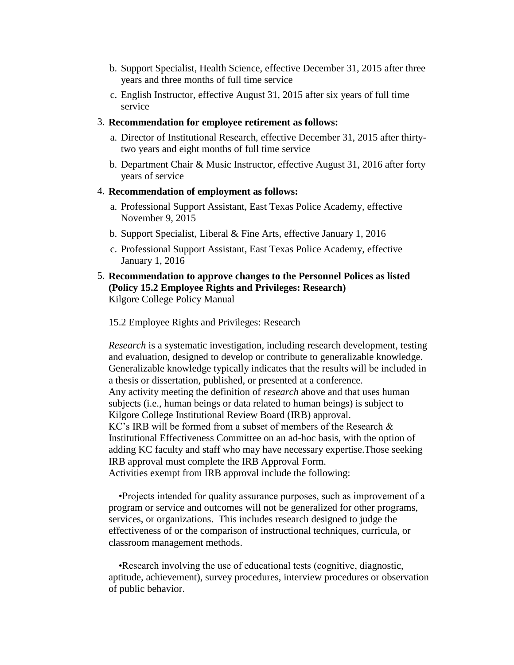- b. Support Specialist, Health Science, effective December 31, 2015 after three years and three months of full time service
- c. English Instructor, effective August 31, 2015 after six years of full time service

#### 3. **Recommendation for employee retirement as follows:**

- a. Director of Institutional Research, effective December 31, 2015 after thirtytwo years and eight months of full time service
- b. Department Chair & Music Instructor, effective August 31, 2016 after forty years of service

#### 4. **Recommendation of employment as follows:**

- a. Professional Support Assistant, East Texas Police Academy, effective November 9, 2015
- b. Support Specialist, Liberal & Fine Arts, effective January 1, 2016
- c. Professional Support Assistant, East Texas Police Academy, effective January 1, 2016
- 5. **Recommendation to approve changes to the Personnel Polices as listed (Policy 15.2 Employee Rights and Privileges: Research)** Kilgore College Policy Manual

15.2 Employee Rights and Privileges: Research

*Research* is a systematic investigation, including research development, testing and evaluation, designed to develop or contribute to generalizable knowledge. Generalizable knowledge typically indicates that the results will be included in a thesis or dissertation, published, or presented at a conference. Any activity meeting the definition of *research* above and that uses human subjects (i.e., human beings or data related to human beings) is subject to Kilgore College Institutional Review Board (IRB) approval. KC's IRB will be formed from a subset of members of the Research & Institutional Effectiveness Committee on an ad-hoc basis, with the option of adding KC faculty and staff who may have necessary expertise.Those seeking IRB approval must complete the IRB Approval Form. Activities exempt from IRB approval include the following:

 •Projects intended for quality assurance purposes, such as improvement of a program or service and outcomes will not be generalized for other programs, services, or organizations. This includes research designed to judge the effectiveness of or the comparison of instructional techniques, curricula, or classroom management methods.

 •Research involving the use of educational tests (cognitive, diagnostic, aptitude, achievement), survey procedures, interview procedures or observation of public behavior.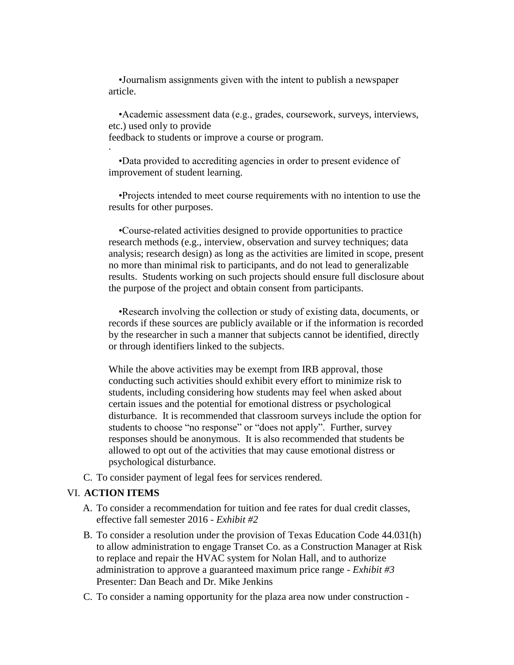•Journalism assignments given with the intent to publish a newspaper article.

 •Academic assessment data (e.g., grades, coursework, surveys, interviews, etc.) used only to provide

feedback to students or improve a course or program.

 •Data provided to accrediting agencies in order to present evidence of improvement of student learning.

 •Projects intended to meet course requirements with no intention to use the results for other purposes.

 •Course-related activities designed to provide opportunities to practice research methods (e.g., interview, observation and survey techniques; data analysis; research design) as long as the activities are limited in scope, present no more than minimal risk to participants, and do not lead to generalizable results. Students working on such projects should ensure full disclosure about the purpose of the project and obtain consent from participants.

 •Research involving the collection or study of existing data, documents, or records if these sources are publicly available or if the information is recorded by the researcher in such a manner that subjects cannot be identified, directly or through identifiers linked to the subjects.

While the above activities may be exempt from IRB approval, those conducting such activities should exhibit every effort to minimize risk to students, including considering how students may feel when asked about certain issues and the potential for emotional distress or psychological disturbance. It is recommended that classroom surveys include the option for students to choose "no response" or "does not apply". Further, survey responses should be anonymous. It is also recommended that students be allowed to opt out of the activities that may cause emotional distress or psychological disturbance.

C. To consider payment of legal fees for services rendered.

#### VI. **ACTION ITEMS**

·

- A. To consider a recommendation for tuition and fee rates for dual credit classes, effective fall semester 2016 - *Exhibit #2*
- B. To consider a resolution under the provision of Texas Education Code 44.031(h) to allow administration to engage Transet Co. as a Construction Manager at Risk to replace and repair the HVAC system for Nolan Hall, and to authorize administration to approve a guaranteed maximum price range - *Exhibit #3* Presenter: Dan Beach and Dr. Mike Jenkins
- C. To consider a naming opportunity for the plaza area now under construction -